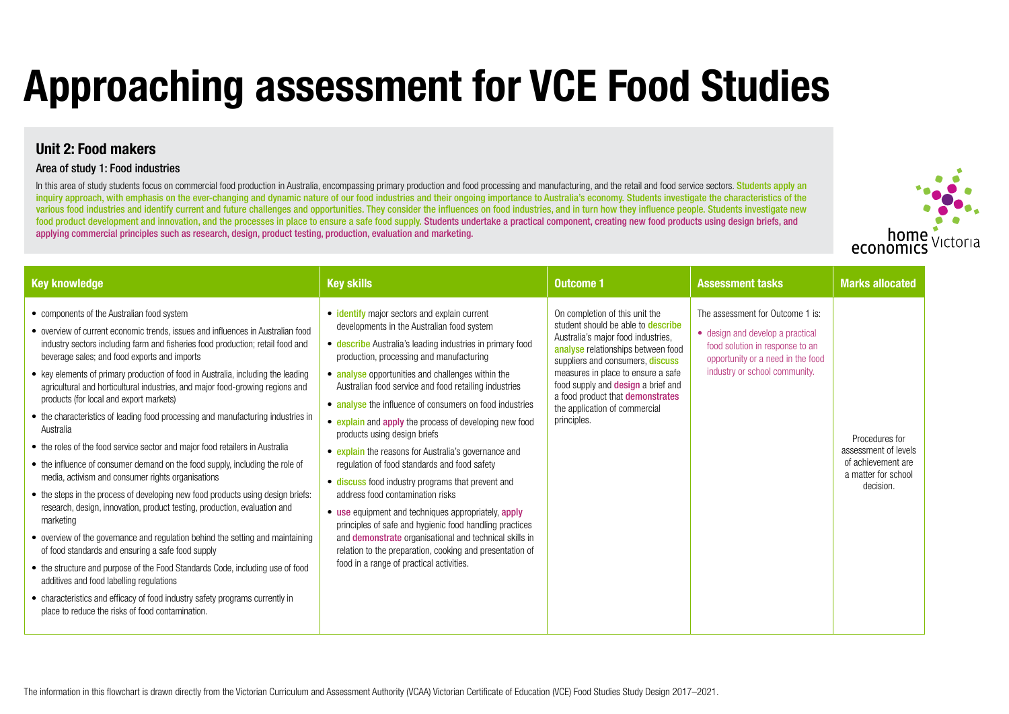# **Unit 2: Food makers**

## Area of study 1: Food industries

In this area of study students focus on commercial food production in Australia, encompassing primary production and food processing and manufacturing, and the retail and food service sectors. Students apply an inquiry approach, with emphasis on the ever-changing and dynamic nature of our food industries and their ongoing importance to Australia's economy. Students investigate the characteristics of the various food industries and identify current and future challenges and opportunities. They consider the influences on food industries, and in turn how they influence people. Students investigate new food product development and innovation, and the processes in place to ensure a safe food supply. Students undertake a practical component, creating new food products using design briefs, and applying commercial principles such as research, design, product testing, production, evaluation and marketing.

# **Approaching assessment for VCE Food Studies**

| <b>Key knowledge</b>                                                                                                                                                                                                                                                                                                                                                                                                                                                                                                                                                                                                                                                                                                                                                                                                                                                                                                                                                                                                                                                                                                                                                                                                                                                                                                                                                                       | <b>Key skills</b>                                                                                                                                                                                                                                                                                                                                                                                                                                                                                                                                                                                                                                                                                                                                                                                                                                                                                                                                                  | <b>Outcome 1</b>                                                                                                                                                                                                                                                                                                                                                   | <b>Assessment tasks</b>                                                                                                                                                       | <b>Marks allocated</b>                                                                           |
|--------------------------------------------------------------------------------------------------------------------------------------------------------------------------------------------------------------------------------------------------------------------------------------------------------------------------------------------------------------------------------------------------------------------------------------------------------------------------------------------------------------------------------------------------------------------------------------------------------------------------------------------------------------------------------------------------------------------------------------------------------------------------------------------------------------------------------------------------------------------------------------------------------------------------------------------------------------------------------------------------------------------------------------------------------------------------------------------------------------------------------------------------------------------------------------------------------------------------------------------------------------------------------------------------------------------------------------------------------------------------------------------|--------------------------------------------------------------------------------------------------------------------------------------------------------------------------------------------------------------------------------------------------------------------------------------------------------------------------------------------------------------------------------------------------------------------------------------------------------------------------------------------------------------------------------------------------------------------------------------------------------------------------------------------------------------------------------------------------------------------------------------------------------------------------------------------------------------------------------------------------------------------------------------------------------------------------------------------------------------------|--------------------------------------------------------------------------------------------------------------------------------------------------------------------------------------------------------------------------------------------------------------------------------------------------------------------------------------------------------------------|-------------------------------------------------------------------------------------------------------------------------------------------------------------------------------|--------------------------------------------------------------------------------------------------|
| • components of the Australian food system<br>• overview of current economic trends, issues and influences in Australian food<br>industry sectors including farm and fisheries food production; retail food and<br>beverage sales; and food exports and imports<br>• key elements of primary production of food in Australia, including the leading<br>agricultural and horticultural industries, and major food-growing regions and<br>products (for local and export markets)<br>• the characteristics of leading food processing and manufacturing industries in<br>Australia<br>• the roles of the food service sector and major food retailers in Australia<br>• the influence of consumer demand on the food supply, including the role of<br>media, activism and consumer rights organisations<br>• the steps in the process of developing new food products using design briefs:<br>research, design, innovation, product testing, production, evaluation and<br>marketing<br>• overview of the governance and regulation behind the setting and maintaining<br>of food standards and ensuring a safe food supply<br>• the structure and purpose of the Food Standards Code, including use of food<br>additives and food labelling regulations<br>• characteristics and efficacy of food industry safety programs currently in<br>place to reduce the risks of food contamination. | • identify major sectors and explain current<br>developments in the Australian food system<br>• describe Australia's leading industries in primary food<br>production, processing and manufacturing<br>• analyse opportunities and challenges within the<br>Australian food service and food retailing industries<br>• analyse the influence of consumers on food industries<br>• explain and apply the process of developing new food<br>products using design briefs<br>• explain the reasons for Australia's governance and<br>regulation of food standards and food safety<br>• discuss food industry programs that prevent and<br>address food contamination risks<br>• use equipment and techniques appropriately, apply<br>principles of safe and hygienic food handling practices<br>and <b>demonstrate</b> organisational and technical skills in<br>relation to the preparation, cooking and presentation of<br>food in a range of practical activities. | On completion of this unit the<br>student should be able to <b>describe</b><br>Australia's major food industries,<br>analyse relationships between food<br>suppliers and consumers, discuss<br>measures in place to ensure a safe<br>food supply and <b>design</b> a brief and<br>a food product that demonstrates<br>the application of commercial<br>principles. | The assessment for Outcome 1 is:<br>• design and develop a practical<br>food solution in response to an<br>opportunity or a need in the food<br>industry or school community. | Procedures for<br>assessment of levels<br>of achievement are<br>a matter for school<br>decision. |



### or Outcome 1 is: